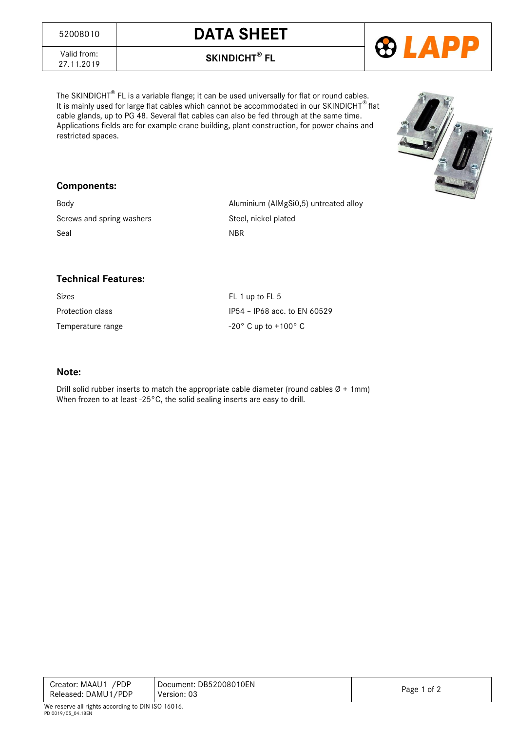## <sup>52008010</sup> **DATA SHEET**



Valid from:<br>27.11.2019

27.11.2019 **SKINDICHT® FL**

The SKINDICHT $^{\circledast}$  FL is a variable flange; it can be used universally for flat or round cables. It is mainly used for large flat cables which cannot be accommodated in our SKINDICHT® flat cable glands, up to PG 48. Several flat cables can also be fed through at the same time. Applications fields are for example crane building, plant construction, for power chains and restricted spaces.

## **Components:**

Screws and spring washers Steel, nickel plated Seal NBR

Body Body **Aluminium** (AlMgSi0,5) untreated alloy



| Sizes                   |  |
|-------------------------|--|
| <b>Protection class</b> |  |
| Tamnaratura ranga       |  |

FL 1 up to FL 5 IP54 - IP68 acc. to EN 60529 Temperature range  $-20^{\circ}$  C up to +100° C

## **Note:**

Drill solid rubber inserts to match the appropriate cable diameter (round cables  $\varnothing$  + 1mm) When frozen to at least -25°C, the solid sealing inserts are easy to drill.

| Creator: MAAU1 / PDP<br>Released: DAMU1/PDP                                                                                                    | Document: DB52008010EN<br>Version: 03 | Page 1 of 2 |  |  |
|------------------------------------------------------------------------------------------------------------------------------------------------|---------------------------------------|-------------|--|--|
| $\mathbf{u}$ $\mathbf{u}$ $\mathbf{v}$ $\mathbf{u}$ $\mathbf{v}$ $\mathbf{v}$ $\mathbf{v}$ $\mathbf{v}$ $\mathbf{v}$ $\mathbf{v}$ $\mathbf{v}$ |                                       |             |  |  |